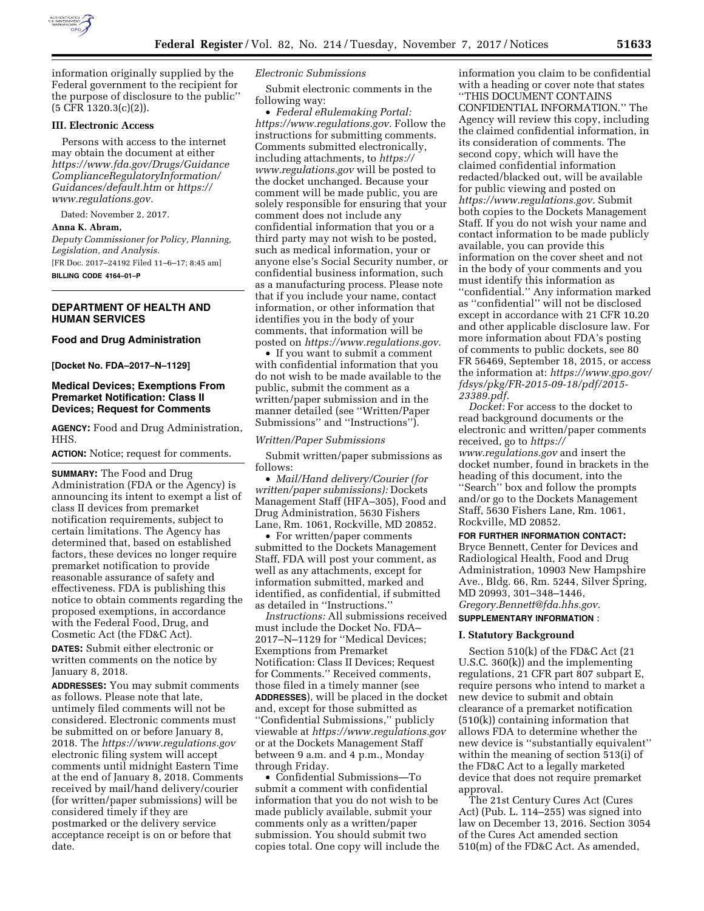

information originally supplied by the Federal government to the recipient for the purpose of disclosure to the public'' (5 CFR 1320.3(c)(2)).

#### **III. Electronic Access**

Persons with access to the internet may obtain the document at either *[https://www.fda.gov/Drugs/Guidance](https://www.fda.gov/Drugs/GuidanceComplianceRegulatoryInformation/Guidances/default.htm) [ComplianceRegulatoryInformation/](https://www.fda.gov/Drugs/GuidanceComplianceRegulatoryInformation/Guidances/default.htm) [Guidances/default.htm](https://www.fda.gov/Drugs/GuidanceComplianceRegulatoryInformation/Guidances/default.htm)* or *[https://](https://www.regulations.gov) [www.regulations.gov.](https://www.regulations.gov)* 

Dated: November 2, 2017.

#### **Anna K. Abram,**

*Deputy Commissioner for Policy, Planning, Legislation, and Analysis.*  [FR Doc. 2017–24192 Filed 11–6–17; 8:45 am] **BILLING CODE 4164–01–P** 

### **DEPARTMENT OF HEALTH AND HUMAN SERVICES**

### **Food and Drug Administration**

**[Docket No. FDA–2017–N–1129]** 

#### **Medical Devices; Exemptions From Premarket Notification: Class II Devices; Request for Comments**

**AGENCY:** Food and Drug Administration, HHS.

**ACTION:** Notice; request for comments.

**SUMMARY:** The Food and Drug Administration (FDA or the Agency) is announcing its intent to exempt a list of class II devices from premarket notification requirements, subject to certain limitations. The Agency has determined that, based on established factors, these devices no longer require premarket notification to provide reasonable assurance of safety and effectiveness. FDA is publishing this notice to obtain comments regarding the proposed exemptions, in accordance with the Federal Food, Drug, and Cosmetic Act (the FD&C Act).

**DATES:** Submit either electronic or written comments on the notice by January 8, 2018.

**ADDRESSES:** You may submit comments as follows. Please note that late, untimely filed comments will not be considered. Electronic comments must be submitted on or before January 8, 2018. The *<https://www.regulations.gov>* electronic filing system will accept comments until midnight Eastern Time at the end of January 8, 2018. Comments received by mail/hand delivery/courier (for written/paper submissions) will be considered timely if they are postmarked or the delivery service acceptance receipt is on or before that date.

#### *Electronic Submissions*

Submit electronic comments in the following way:

• *Federal eRulemaking Portal: [https://www.regulations.gov.](https://www.regulations.gov)* Follow the instructions for submitting comments. Comments submitted electronically, including attachments, to *[https://](https://www.regulations.gov) [www.regulations.gov](https://www.regulations.gov)* will be posted to the docket unchanged. Because your comment will be made public, you are solely responsible for ensuring that your comment does not include any confidential information that you or a third party may not wish to be posted, such as medical information, your or anyone else's Social Security number, or confidential business information, such as a manufacturing process. Please note that if you include your name, contact information, or other information that identifies you in the body of your comments, that information will be posted on *[https://www.regulations.gov.](https://www.regulations.gov)* 

• If you want to submit a comment with confidential information that you do not wish to be made available to the public, submit the comment as a written/paper submission and in the manner detailed (see ''Written/Paper Submissions'' and ''Instructions'').

#### *Written/Paper Submissions*

Submit written/paper submissions as follows:

• *Mail/Hand delivery/Courier (for written/paper submissions):* Dockets Management Staff (HFA–305), Food and Drug Administration, 5630 Fishers Lane, Rm. 1061, Rockville, MD 20852.

• For written/paper comments submitted to the Dockets Management Staff, FDA will post your comment, as well as any attachments, except for information submitted, marked and identified, as confidential, if submitted as detailed in ''Instructions.''

*Instructions:* All submissions received must include the Docket No. FDA– 2017–N–1129 for ''Medical Devices; Exemptions from Premarket Notification: Class II Devices; Request for Comments.'' Received comments, those filed in a timely manner (see **ADDRESSES**), will be placed in the docket and, except for those submitted as ''Confidential Submissions,'' publicly viewable at *<https://www.regulations.gov>* or at the Dockets Management Staff between 9 a.m. and 4 p.m., Monday through Friday.

• Confidential Submissions—To submit a comment with confidential information that you do not wish to be made publicly available, submit your comments only as a written/paper submission. You should submit two copies total. One copy will include the information you claim to be confidential with a heading or cover note that states ''THIS DOCUMENT CONTAINS CONFIDENTIAL INFORMATION.'' The Agency will review this copy, including the claimed confidential information, in its consideration of comments. The second copy, which will have the claimed confidential information redacted/blacked out, will be available for public viewing and posted on *[https://www.regulations.gov.](https://www.regulations.gov)* Submit both copies to the Dockets Management Staff. If you do not wish your name and contact information to be made publicly available, you can provide this information on the cover sheet and not in the body of your comments and you must identify this information as ''confidential.'' Any information marked as ''confidential'' will not be disclosed except in accordance with 21 CFR 10.20 and other applicable disclosure law. For more information about FDA's posting of comments to public dockets, see 80 FR 56469, September 18, 2015, or access the information at: *[https://www.gpo.gov/](https://www.gpo.gov/fdsys/pkg/FR-2015-09-18/pdf/2015-23389.pdf) [fdsys/pkg/FR-2015-09-18/pdf/2015-](https://www.gpo.gov/fdsys/pkg/FR-2015-09-18/pdf/2015-23389.pdf)  [23389.pdf.](https://www.gpo.gov/fdsys/pkg/FR-2015-09-18/pdf/2015-23389.pdf)* 

*Docket:* For access to the docket to read background documents or the electronic and written/paper comments received, go to *[https://](https://www.regulations.gov) [www.regulations.gov](https://www.regulations.gov)* and insert the docket number, found in brackets in the heading of this document, into the ''Search'' box and follow the prompts and/or go to the Dockets Management Staff, 5630 Fishers Lane, Rm. 1061, Rockville, MD 20852.

**FOR FURTHER INFORMATION CONTACT:**  Bryce Bennett, Center for Devices and Radiological Health, Food and Drug Administration, 10903 New Hampshire Ave., Bldg. 66, Rm. 5244, Silver Spring, MD 20993, 301–348–1446, *[Gregory.Bennett@fda.hhs.gov.](mailto:Gregory.Bennett@fda.hhs.gov)* 

# **SUPPLEMENTARY INFORMATION** :

#### **I. Statutory Background**

Section 510(k) of the FD&C Act (21 U.S.C. 360(k)) and the implementing regulations, 21 CFR part 807 subpart E, require persons who intend to market a new device to submit and obtain clearance of a premarket notification (510(k)) containing information that allows FDA to determine whether the new device is ''substantially equivalent'' within the meaning of section 513(i) of the FD&C Act to a legally marketed device that does not require premarket approval.

The 21st Century Cures Act (Cures Act) (Pub. L. 114–255) was signed into law on December 13, 2016. Section 3054 of the Cures Act amended section 510(m) of the FD&C Act. As amended,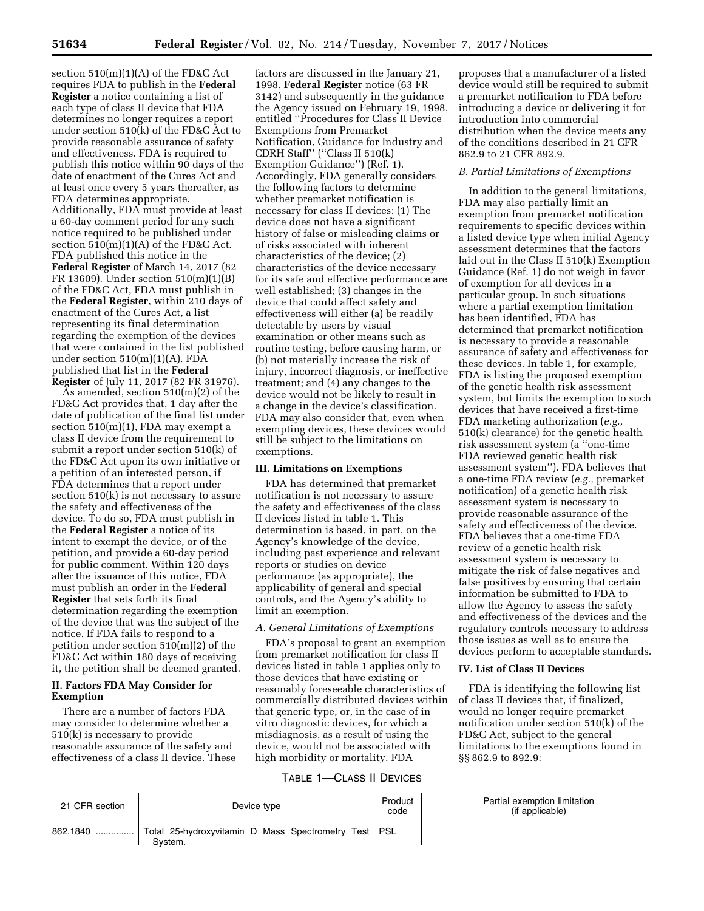section 510(m)(1)(A) of the FD&C Act requires FDA to publish in the **Federal Register** a notice containing a list of each type of class II device that FDA determines no longer requires a report under section 510(k) of the FD&C Act to provide reasonable assurance of safety and effectiveness. FDA is required to publish this notice within 90 days of the date of enactment of the Cures Act and at least once every 5 years thereafter, as FDA determines appropriate. Additionally, FDA must provide at least a 60-day comment period for any such notice required to be published under section  $510(m)(1)(A)$  of the FD&C Act. FDA published this notice in the **Federal Register** of March 14, 2017 (82 FR 13609). Under section 510(m)(1)(B) of the FD&C Act, FDA must publish in the **Federal Register**, within 210 days of enactment of the Cures Act, a list representing its final determination regarding the exemption of the devices that were contained in the list published under section  $510(m)(1)(A)$ . FDA published that list in the **Federal Register** of July 11, 2017 (82 FR 31976).

As amended, section 510(m)(2) of the FD&C Act provides that, 1 day after the date of publication of the final list under section 510(m)(1), FDA may exempt a class II device from the requirement to submit a report under section 510(k) of the FD&C Act upon its own initiative or a petition of an interested person, if FDA determines that a report under section 510(k) is not necessary to assure the safety and effectiveness of the device. To do so, FDA must publish in the **Federal Register** a notice of its intent to exempt the device, or of the petition, and provide a 60-day period for public comment. Within 120 days after the issuance of this notice, FDA must publish an order in the **Federal Register** that sets forth its final determination regarding the exemption of the device that was the subject of the notice. If FDA fails to respond to a petition under section 510(m)(2) of the FD&C Act within 180 days of receiving it, the petition shall be deemed granted.

### **II. Factors FDA May Consider for Exemption**

There are a number of factors FDA may consider to determine whether a 510(k) is necessary to provide reasonable assurance of the safety and effectiveness of a class II device. These

factors are discussed in the January 21, 1998, **Federal Register** notice (63 FR 3142) and subsequently in the guidance the Agency issued on February 19, 1998, entitled ''Procedures for Class II Device Exemptions from Premarket Notification, Guidance for Industry and CDRH Staff'' (''Class II 510(k) Exemption Guidance'') (Ref. 1). Accordingly, FDA generally considers the following factors to determine whether premarket notification is necessary for class II devices: (1) The device does not have a significant history of false or misleading claims or of risks associated with inherent characteristics of the device; (2) characteristics of the device necessary for its safe and effective performance are well established; (3) changes in the device that could affect safety and effectiveness will either (a) be readily detectable by users by visual examination or other means such as routine testing, before causing harm, or (b) not materially increase the risk of injury, incorrect diagnosis, or ineffective treatment; and (4) any changes to the device would not be likely to result in a change in the device's classification. FDA may also consider that, even when exempting devices, these devices would still be subject to the limitations on exemptions.

#### **III. Limitations on Exemptions**

FDA has determined that premarket notification is not necessary to assure the safety and effectiveness of the class II devices listed in table 1. This determination is based, in part, on the Agency's knowledge of the device, including past experience and relevant reports or studies on device performance (as appropriate), the applicability of general and special controls, and the Agency's ability to limit an exemption.

### *A. General Limitations of Exemptions*

FDA's proposal to grant an exemption from premarket notification for class II devices listed in table 1 applies only to those devices that have existing or reasonably foreseeable characteristics of commercially distributed devices within that generic type, or, in the case of in vitro diagnostic devices, for which a misdiagnosis, as a result of using the device, would not be associated with high morbidity or mortality. FDA

proposes that a manufacturer of a listed device would still be required to submit a premarket notification to FDA before introducing a device or delivering it for introduction into commercial distribution when the device meets any of the conditions described in 21 CFR 862.9 to 21 CFR 892.9.

#### *B. Partial Limitations of Exemptions*

In addition to the general limitations, FDA may also partially limit an exemption from premarket notification requirements to specific devices within a listed device type when initial Agency assessment determines that the factors laid out in the Class II 510(k) Exemption Guidance (Ref. 1) do not weigh in favor of exemption for all devices in a particular group. In such situations where a partial exemption limitation has been identified, FDA has determined that premarket notification is necessary to provide a reasonable assurance of safety and effectiveness for these devices. In table 1, for example, FDA is listing the proposed exemption of the genetic health risk assessment system, but limits the exemption to such devices that have received a first-time FDA marketing authorization (*e.g.,*  510(k) clearance) for the genetic health risk assessment system (a ''one-time FDA reviewed genetic health risk assessment system''). FDA believes that a one-time FDA review (*e.g.,* premarket notification) of a genetic health risk assessment system is necessary to provide reasonable assurance of the safety and effectiveness of the device. FDA believes that a one-time FDA review of a genetic health risk assessment system is necessary to mitigate the risk of false negatives and false positives by ensuring that certain information be submitted to FDA to allow the Agency to assess the safety and effectiveness of the devices and the regulatory controls necessary to address those issues as well as to ensure the devices perform to acceptable standards.

# **IV. List of Class II Devices**

FDA is identifying the following list of class II devices that, if finalized, would no longer require premarket notification under section 510(k) of the FD&C Act, subject to the general limitations to the exemptions found in §§ 862.9 to 892.9:

# TABLE 1—CLASS II DEVICES

| 21 CFR section | Device type                                                       | Product<br>code | Partial exemption limitation<br>(if applicable) |
|----------------|-------------------------------------------------------------------|-----------------|-------------------------------------------------|
| 862.1840       | Total 25-hydroxyvitamin D Mass Spectrometry Test   PSL<br>Svstem. |                 |                                                 |